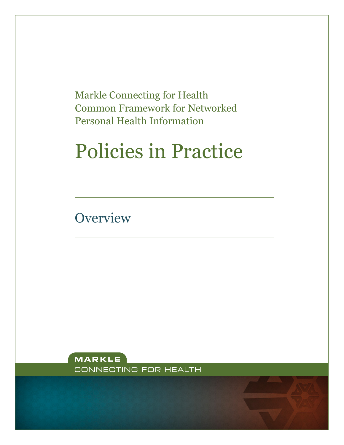Markle Connecting for Health Common Framework for Networked Personal Health Information

## Policies in Practice

**Overview** 

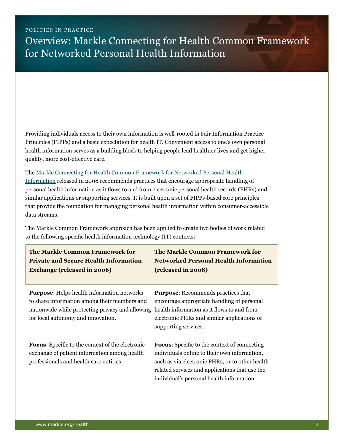## POLICIES IN PRACTICE

Overview: Markle Connecting for Health Common Framework for Networked Personal Health Information

Providing individuals access to their own information is well-rooted in Fair Information Practice Principles (FIPPs) and a basic expectation for health IT. Convenient access to one's own personal health information serves as a building block to helping people lead healthier lives and get higherquality, more cost-effective care.

The [Markle Connecting for Health Common Framework for Networked Personal Health](http://www.markle.org/health/markle-common-framework/connecting-consumers)  [Information](http://www.markle.org/health/markle-common-framework/connecting-consumers) released in 2008 recommends practices that encourage appropriate handling of personal health information as it flows to and from electronic personal health records (PHRs) and similar applications or supporting services. It is built upon a set of FIPPs-based core principles that provide the foundation for managing personal health information within consumer-accessible data streams.

The Markle Common Framework approach has been applied to create two bodies of work related to the following specific health information technology (IT) contexts:

| The Markle Common Framework for<br><b>Private and Secure Health Information</b><br><b>Exchange (released in 2006)</b>                                                                       | The Markle Common Framework for<br><b>Networked Personal Health Information</b><br>(released in 2008)                                                                                                                                                  |
|---------------------------------------------------------------------------------------------------------------------------------------------------------------------------------------------|--------------------------------------------------------------------------------------------------------------------------------------------------------------------------------------------------------------------------------------------------------|
| <b>Purpose:</b> Helps health information networks<br>to share information among their members and<br>nationwide while protecting privacy and allowing<br>for local autonomy and innovation. | <b>Purpose:</b> Recommends practices that<br>encourage appropriate handling of personal<br>health information as it flows to and from<br>electronic PHRs and similar applications or<br>supporting services.                                           |
| <b>Focus:</b> Specific to the context of the electronic<br>exchange of patient information among health<br>professionals and health care entities                                           | <b>Focus:</b> Specific to the context of connecting<br>individuals online to their own information,<br>such as via electronic PHRs, or to other health-<br>related services and applications that use the<br>individual's personal health information. |